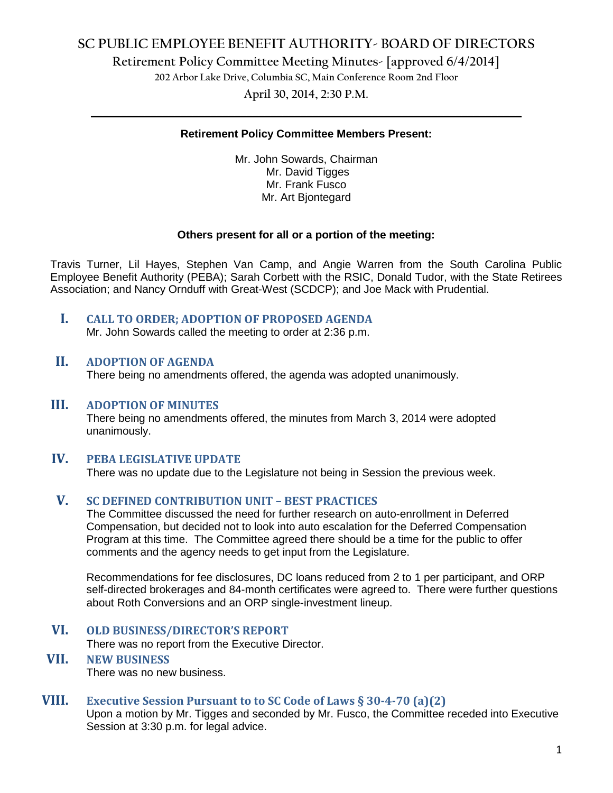# **SC PUBLIC EMPLOYEE BENEFIT AUTHORITY- BOARD OF DIRECTORS**

**Retirement Policy Committee Meeting Minutes- [approved 6/4/2014]**

**202 Arbor Lake Drive, Columbia SC, Main Conference Room 2nd Floor**

**April 30, 2014, 2:30 P.M. \_\_\_\_\_\_\_\_\_\_\_\_\_\_\_\_\_\_\_\_\_\_\_\_\_\_\_\_\_\_\_\_\_\_\_\_\_\_\_\_\_\_\_\_\_\_\_\_\_\_\_\_\_\_\_\_\_\_\_\_\_\_\_\_\_\_\_\_\_\_\_\_**

#### **Retirement Policy Committee Members Present:**

Mr. John Sowards, Chairman Mr. David Tigges Mr. Frank Fusco Mr. Art Bjontegard

#### **Others present for all or a portion of the meeting:**

Travis Turner, Lil Hayes, Stephen Van Camp, and Angie Warren from the South Carolina Public Employee Benefit Authority (PEBA); Sarah Corbett with the RSIC, Donald Tudor, with the State Retirees Association; and Nancy Ornduff with Great-West (SCDCP); and Joe Mack with Prudential.

**I. CALL TO ORDER; ADOPTION OF PROPOSED AGENDA**

Mr. John Sowards called the meeting to order at 2:36 p.m.

#### **II. ADOPTION OF AGENDA**

There being no amendments offered, the agenda was adopted unanimously.

#### **III. ADOPTION OF MINUTES**

There being no amendments offered, the minutes from March 3, 2014 were adopted unanimously.

## **IV. PEBA LEGISLATIVE UPDATE**

There was no update due to the Legislature not being in Session the previous week.

#### **V. SC DEFINED CONTRIBUTION UNIT – BEST PRACTICES**

The Committee discussed the need for further research on auto-enrollment in Deferred Compensation, but decided not to look into auto escalation for the Deferred Compensation Program at this time. The Committee agreed there should be a time for the public to offer comments and the agency needs to get input from the Legislature.

Recommendations for fee disclosures, DC loans reduced from 2 to 1 per participant, and ORP self-directed brokerages and 84-month certificates were agreed to. There were further questions about Roth Conversions and an ORP single-investment lineup.

#### **VI. OLD BUSINESS/DIRECTOR'S REPORT**

There was no report from the Executive Director.

# **VII. NEW BUSINESS**

There was no new business.

## **VIII. Executive Session Pursuant to to SC Code of Laws § 30-4-70 (a)(2)**

Upon a motion by Mr. Tigges and seconded by Mr. Fusco, the Committee receded into Executive Session at 3:30 p.m. for legal advice.